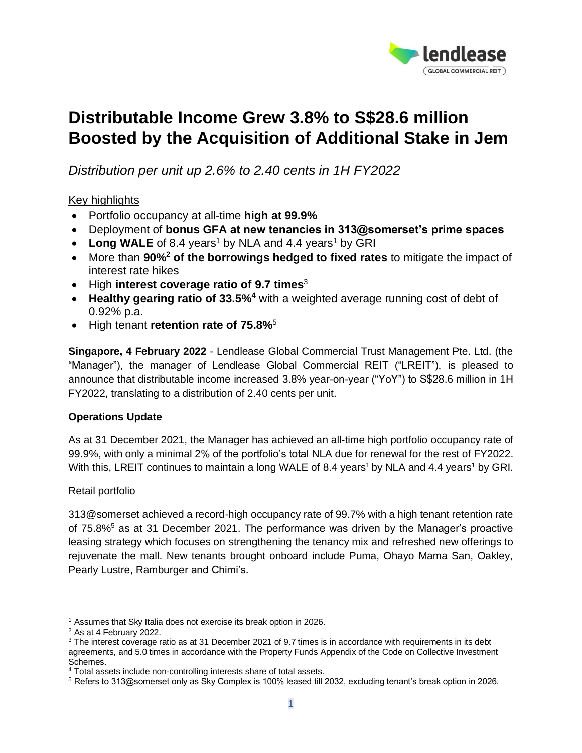

# **Distributable Income Grew 3.8% to S\$28.6 million Boosted by the Acquisition of Additional Stake in Jem**

*Distribution per unit up 2.6% to 2.40 cents in 1H FY2022*

## Key highlights

- Portfolio occupancy at all-time **high at 99.9%**
- Deployment of **bonus GFA at new tenancies in 313@somerset's prime spaces**
- Long WALE of 8.4 years<sup>1</sup> by NLA and 4.4 years<sup>1</sup> by GRI
- More than **90%<sup>2</sup> of the borrowings hedged to fixed rates** to mitigate the impact of interest rate hikes
- High **interest coverage ratio of 9.7 times**<sup>3</sup>
- **Healthy gearing ratio of 33.5%<sup>4</sup>** with a weighted average running cost of debt of 0.92% p.a.
- High tenant **retention rate of 75.8%**<sup>5</sup>

**Singapore, 4 February 2022** - Lendlease Global Commercial Trust Management Pte. Ltd. (the "Manager"), the manager of Lendlease Global Commercial REIT ("LREIT"), is pleased to announce that distributable income increased 3.8% year-on-year ("YoY") to S\$28.6 million in 1H FY2022, translating to a distribution of 2.40 cents per unit.

## **Operations Update**

As at 31 December 2021, the Manager has achieved an all-time high portfolio occupancy rate of 99.9%, with only a minimal 2% of the portfolio's total NLA due for renewal for the rest of FY2022. With this, LREIT continues to maintain a long WALE of 8.4 years<sup>1</sup> by NLA and 4.4 years<sup>1</sup> by GRI.

## Retail portfolio

313@somerset achieved a record-high occupancy rate of 99.7% with a high tenant retention rate of 75.8%<sup>5</sup> as at 31 December 2021. The performance was driven by the Manager's proactive leasing strategy which focuses on strengthening the tenancy mix and refreshed new offerings to rejuvenate the mall. New tenants brought onboard include Puma, Ohayo Mama San, Oakley, Pearly Lustre, Ramburger and Chimi's.

<sup>&</sup>lt;sup>1</sup> Assumes that Sky Italia does not exercise its break option in 2026.

<sup>2</sup> As at 4 February 2022.

<sup>&</sup>lt;sup>3</sup> The interest coverage ratio as at 31 December 2021 of 9.7 times is in accordance with requirements in its debt agreements, and 5.0 times in accordance with the Property Funds Appendix of the Code on Collective Investment Schemes.

<sup>4</sup> Total assets include non-controlling interests share of total assets.

<sup>5</sup> Refers to 313@somerset only as Sky Complex is 100% leased till 2032, excluding tenant's break option in 2026.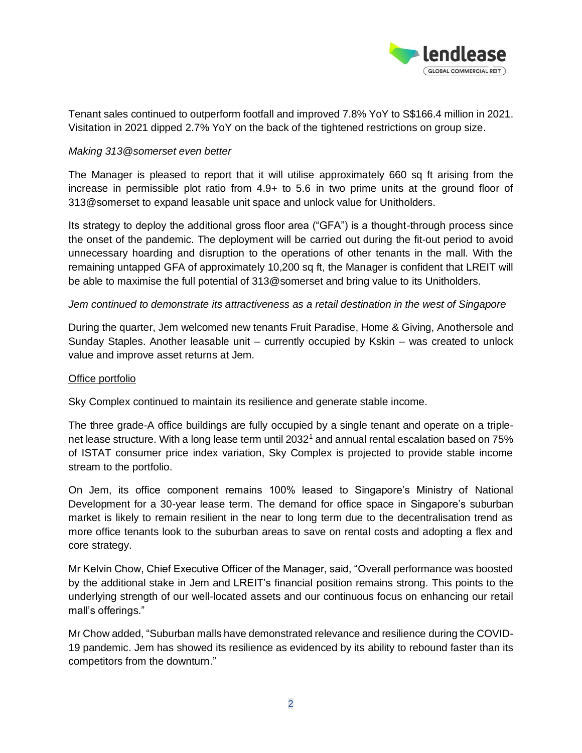

Tenant sales continued to outperform footfall and improved 7.8% YoY to S\$166.4 million in 2021. Visitation in 2021 dipped 2.7% YoY on the back of the tightened restrictions on group size.

## *Making 313@somerset even better*

The Manager is pleased to report that it will utilise approximately 660 sq ft arising from the increase in permissible plot ratio from 4.9+ to 5.6 in two prime units at the ground floor of 313@somerset to expand leasable unit space and unlock value for Unitholders.

Its strategy to deploy the additional gross floor area ("GFA") is a thought-through process since the onset of the pandemic. The deployment will be carried out during the fit-out period to avoid unnecessary hoarding and disruption to the operations of other tenants in the mall. With the remaining untapped GFA of approximately 10,200 sq ft, the Manager is confident that LREIT will be able to maximise the full potential of 313@somerset and bring value to its Unitholders.

## *Jem continued to demonstrate its attractiveness as a retail destination in the west of Singapore*

During the quarter, Jem welcomed new tenants Fruit Paradise, Home & Giving, Anothersole and Sunday Staples. Another leasable unit – currently occupied by Kskin – was created to unlock value and improve asset returns at Jem.

#### Office portfolio

Sky Complex continued to maintain its resilience and generate stable income.

The three grade-A office buildings are fully occupied by a single tenant and operate on a triplenet lease structure. With a long lease term until 2032<sup>1</sup> and annual rental escalation based on 75% of ISTAT consumer price index variation, Sky Complex is projected to provide stable income stream to the portfolio.

On Jem, its office component remains 100% leased to Singapore's Ministry of National Development for a 30-year lease term. The demand for office space in Singapore's suburban market is likely to remain resilient in the near to long term due to the decentralisation trend as more office tenants look to the suburban areas to save on rental costs and adopting a flex and core strategy.

Mr Kelvin Chow, Chief Executive Officer of the Manager, said, "Overall performance was boosted by the additional stake in Jem and LREIT's financial position remains strong. This points to the underlying strength of our well-located assets and our continuous focus on enhancing our retail mall's offerings."

Mr Chow added, "Suburban malls have demonstrated relevance and resilience during the COVID-19 pandemic. Jem has showed its resilience as evidenced by its ability to rebound faster than its competitors from the downturn."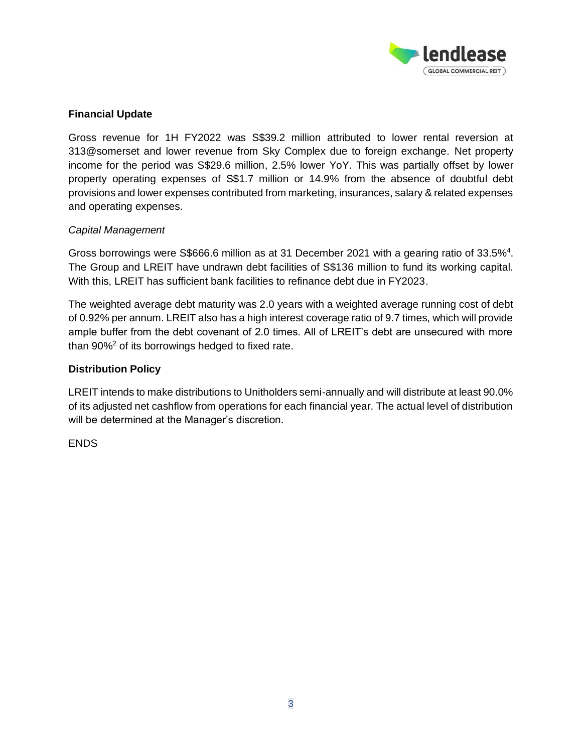

## **Financial Update**

Gross revenue for 1H FY2022 was S\$39.2 million attributed to lower rental reversion at 313@somerset and lower revenue from Sky Complex due to foreign exchange. Net property income for the period was S\$29.6 million, 2.5% lower YoY. This was partially offset by lower property operating expenses of S\$1.7 million or 14.9% from the absence of doubtful debt provisions and lower expenses contributed from marketing, insurances, salary & related expenses and operating expenses.

## *Capital Management*

Gross borrowings were S\$666.6 million as at 31 December 2021 with a gearing ratio of 33.5%<sup>4</sup>. The Group and LREIT have undrawn debt facilities of S\$136 million to fund its working capital. With this, LREIT has sufficient bank facilities to refinance debt due in FY2023.

The weighted average debt maturity was 2.0 years with a weighted average running cost of debt of 0.92% per annum. LREIT also has a high interest coverage ratio of 9.7 times, which will provide ample buffer from the debt covenant of 2.0 times. All of LREIT's debt are unsecured with more than  $90\%^2$  of its borrowings hedged to fixed rate.

## **Distribution Policy**

LREIT intends to make distributions to Unitholders semi-annually and will distribute at least 90.0% of its adjusted net cashflow from operations for each financial year. The actual level of distribution will be determined at the Manager's discretion.

ENDS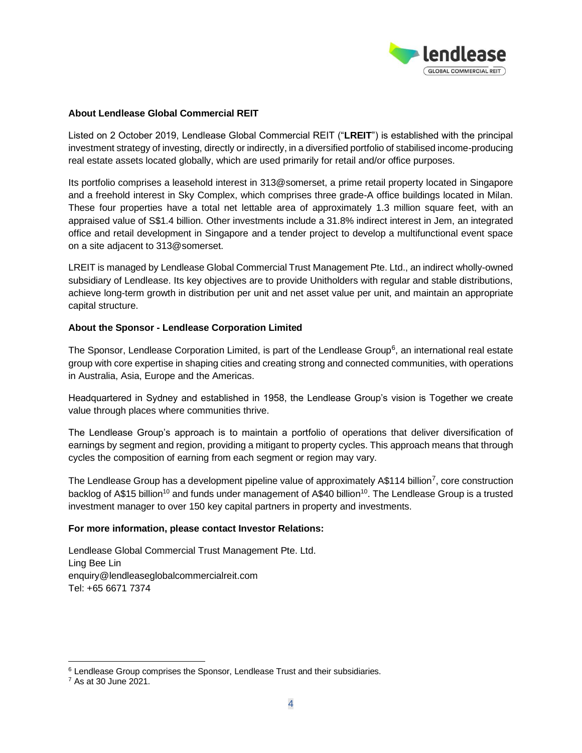

#### **About Lendlease Global Commercial REIT**

Listed on 2 October 2019, Lendlease Global Commercial REIT ("**LREIT**") is established with the principal investment strategy of investing, directly or indirectly, in a diversified portfolio of stabilised income-producing real estate assets located globally, which are used primarily for retail and/or office purposes.

Its portfolio comprises a leasehold interest in 313@somerset, a prime retail property located in Singapore and a freehold interest in Sky Complex, which comprises three grade-A office buildings located in Milan. These four properties have a total net lettable area of approximately 1.3 million square feet, with an appraised value of S\$1.4 billion. Other investments include a 31.8% indirect interest in Jem, an integrated office and retail development in Singapore and a tender project to develop a multifunctional event space on a site adjacent to 313@somerset.

LREIT is managed by Lendlease Global Commercial Trust Management Pte. Ltd., an indirect wholly-owned subsidiary of Lendlease. Its key objectives are to provide Unitholders with regular and stable distributions, achieve long-term growth in distribution per unit and net asset value per unit, and maintain an appropriate capital structure.

#### **About the Sponsor - Lendlease Corporation Limited**

The Sponsor, Lendlease Corporation Limited, is part of the Lendlease Group<sup>6</sup>, an international real estate group with core expertise in shaping cities and creating strong and connected communities, with operations in Australia, Asia, Europe and the Americas.

Headquartered in Sydney and established in 1958, the Lendlease Group's vision is Together we create value through places where communities thrive.

The Lendlease Group's approach is to maintain a portfolio of operations that deliver diversification of earnings by segment and region, providing a mitigant to property cycles. This approach means that through cycles the composition of earning from each segment or region may vary.

The Lendlease Group has a development pipeline value of approximately A\$114 billion<sup>7</sup>, core construction backlog of A\$15 billion<sup>10</sup> and funds under management of A\$40 billion<sup>10</sup>. The Lendlease Group is a trusted investment manager to over 150 key capital partners in property and investments.

#### **For more information, please contact Investor Relations:**

Lendlease Global Commercial Trust Management Pte. Ltd. Ling Bee Lin enquiry@lendleaseglobalcommercialreit.com Tel: +65 6671 7374

 $6$  Lendlease Group comprises the Sponsor, Lendlease Trust and their subsidiaries.

<sup>7</sup> As at 30 June 2021.